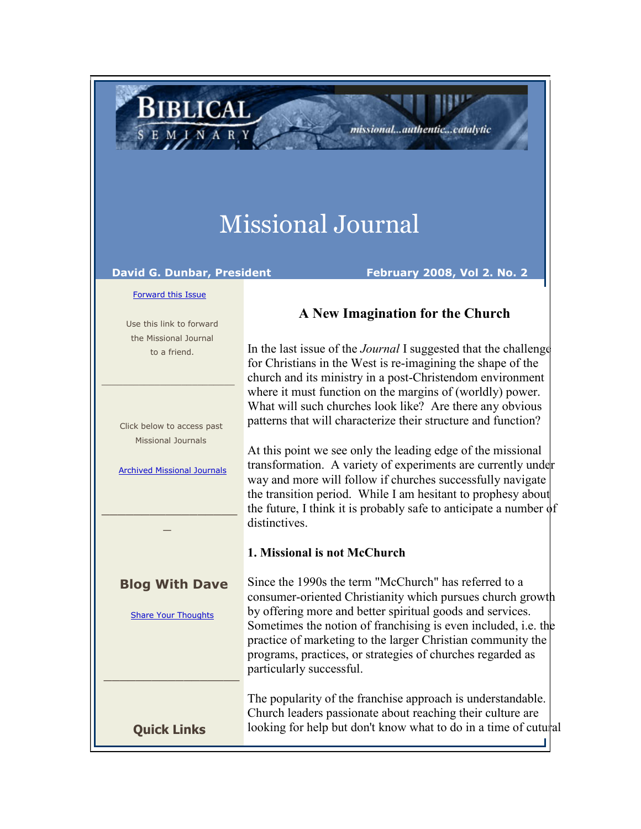## Missional Journal

distinctives.

**1. Missional is not McChurch**

## **David G. Dunbar, President February 2008, Vol 2. No. 2**

**BIBLICAL** 

**A New Imagination for the Church**

missional...authentic...catalytic

In the last issue of the *Journal* I suggested that the challenge for Christians in the West is re-imagining the shape of the church and its ministry in a post-Christendom environment where it must function on the margins of (worldly) power. What will such churches look like? Are there any obvious patterns that will characterize their structure and function?

At this point we see only the leading edge of the missional transformation. A variety of experiments are currently under way and more will follow if churches successfully navigate the transition period. While I am hesitant to prophesy about the future, I think it is probably safe to anticipate a number of

[Forward this Issue](http://ui.constantcontact.com/sa/fwtf.jsp?m=1101554955461&a=1101726756528&id=preview)

 Use this link to forward the Missional Journal to a friend.

\_\_\_\_\_\_\_\_\_\_\_\_\_\_\_\_\_\_\_\_\_\_\_\_\_

 Click below to access past Missional Journals

[Archived Missional Journals](http://rs6.net/tn.jsp?e=001AsOGRL3dSigjwQ0OauS3ccJfMr8JXSmQhSqL85rv40BHgSQWBYxyR8DvTTgQvKuFrfVjNw00e576dF8mb-TmTGGv6QfyXyl11hlducE8EoefaRI9gLr5uLorbXNv4Jup61GZIRHW6elL7OAbqOfKIZRUcTV1SeVEQ8urN47mr8A=)

 $\_$  . The set of the set of the set of the set of the set of the set of the set of the set of the set of the set of the set of the set of the set of the set of the set of the set of the set of the set of the set of the se  $\overline{a}$ 

**Blog With Dave** 

[Share Your Thoughts](http://rs6.net/tn.jsp?e=001AsOGRL3dSigjwQ0OauS3ccJfMr8JXSmQhSqL85rv40BHgSQWBYxyR8DvTTgQvKuFSoKuQ52_nOhb3v7M-AtCj5r8kcybOQOMUEMTZnmLZBBDqWh-sqPMOzQ_hlotFlBOc2gSMPCY_U8=) 

consumer-oriented Christianity which pursues church growth by offering more and better spiritual goods and services. Sometimes the notion of franchising is even included, i.e. the practice of marketing to the larger Christian community the

\_\_\_\_\_\_\_\_\_\_\_\_\_\_\_\_\_ programs, practices, or strategies of churches regarded as particularly successful. The popularity of the franchise approach is understandable. Church leaders passionate about reaching their culture are

looking for help but don't know what to do in a time of cutural

Since the 1990s the term "McChurch" has referred to a

**Quick Links**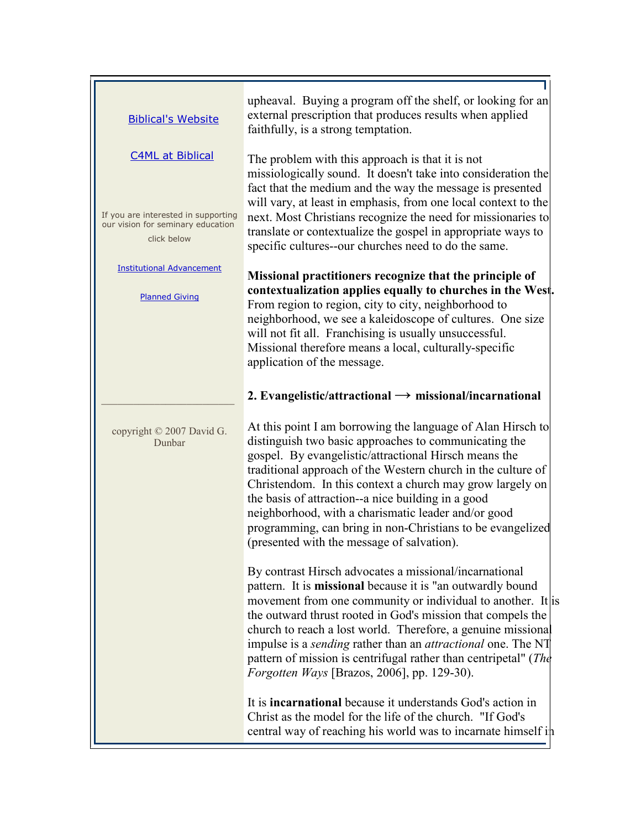| <b>Biblical's Website</b>                                                               | upheaval. Buying a program off the shelf, or looking for an<br>external prescription that produces results when applied<br>faithfully, is a strong temptation.                                                                                                                                                                                                                                                                                                                                                                      |
|-----------------------------------------------------------------------------------------|-------------------------------------------------------------------------------------------------------------------------------------------------------------------------------------------------------------------------------------------------------------------------------------------------------------------------------------------------------------------------------------------------------------------------------------------------------------------------------------------------------------------------------------|
| <b>C4ML at Biblical</b>                                                                 | The problem with this approach is that it is not<br>missiologically sound. It doesn't take into consideration the<br>fact that the medium and the way the message is presented                                                                                                                                                                                                                                                                                                                                                      |
| If you are interested in supporting<br>our vision for seminary education<br>click below | will vary, at least in emphasis, from one local context to the<br>next. Most Christians recognize the need for missionaries to<br>translate or contextualize the gospel in appropriate ways to<br>specific cultures--our churches need to do the same.                                                                                                                                                                                                                                                                              |
| <b>Institutional Advancement</b><br><b>Planned Giving</b>                               | Missional practitioners recognize that the principle of<br>contextualization applies equally to churches in the West.<br>From region to region, city to city, neighborhood to<br>neighborhood, we see a kaleidoscope of cultures. One size<br>will not fit all. Franchising is usually unsuccessful.<br>Missional therefore means a local, culturally-specific<br>application of the message.                                                                                                                                       |
|                                                                                         | 2. Evangelistic/attractional $\rightarrow$ missional/incarnational                                                                                                                                                                                                                                                                                                                                                                                                                                                                  |
| copyright © 2007 David G.<br>Dunbar                                                     | At this point I am borrowing the language of Alan Hirsch to<br>distinguish two basic approaches to communicating the<br>gospel. By evangelistic/attractional Hirsch means the<br>traditional approach of the Western church in the culture of<br>Christendom. In this context a church may grow largely on<br>the basis of attraction--a nice building in a good<br>neighborhood, with a charismatic leader and/or good<br>programming, can bring in non-Christians to be evangelized<br>(presented with the message of salvation). |
|                                                                                         | By contrast Hirsch advocates a missional/incarnational<br>pattern. It is missional because it is "an outwardly bound<br>movement from one community or individual to another. It is<br>the outward thrust rooted in God's mission that compels the<br>church to reach a lost world. Therefore, a genuine missional<br>impulse is a <i>sending</i> rather than an <i>attractional</i> one. The NT<br>pattern of mission is centrifugal rather than centripetal" (The<br>Forgotten Ways [Brazos, 2006], pp. 129-30).                  |
|                                                                                         | It is <b>incarnational</b> because it understands God's action in<br>Christ as the model for the life of the church. "If God's<br>central way of reaching his world was to incarnate himself in                                                                                                                                                                                                                                                                                                                                     |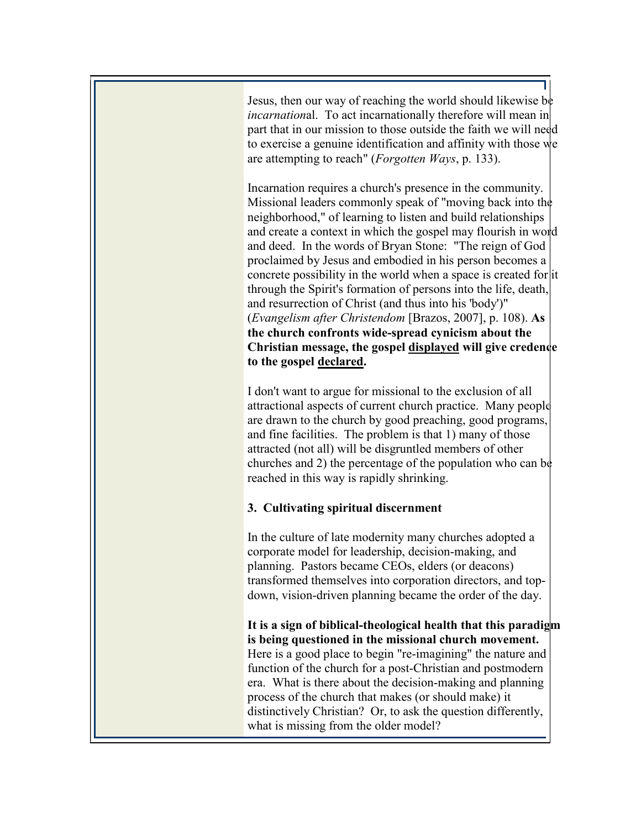Jesus, then our way of reaching the world should likewise be *incarnation*al. To act incarnationally therefore will mean in part that in our mission to those outside the faith we will need to exercise a genuine identification and affinity with those we are attempting to reach" (*Forgotten Ways*, p. 133).

Incarnation requires a church's presence in the community. Missional leaders commonly speak of "moving back into the neighborhood," of learning to listen and build relationships and create a context in which the gospel may flourish in word and deed. In the words of Bryan Stone: "The reign of God proclaimed by Jesus and embodied in his person becomes a concrete possibility in the world when a space is created for it through the Spirit's formation of persons into the life, death, and resurrection of Christ (and thus into his 'body')" (*Evangelism after Christendom* [Brazos, 2007], p. 108). **As the church confronts wide-spread cynicism about the Christian message, the gospel displayed will give credence to the gospel declared.**

I don't want to argue for missional to the exclusion of all attractional aspects of current church practice. Many people are drawn to the church by good preaching, good programs, and fine facilities. The problem is that 1) many of those attracted (not all) will be disgruntled members of other churches and 2) the percentage of the population who can be reached in this way is rapidly shrinking.

## **3. Cultivating spiritual discernment**

In the culture of late modernity many churches adopted a corporate model for leadership, decision-making, and planning. Pastors became CEOs, elders (or deacons) transformed themselves into corporation directors, and topdown, vision-driven planning became the order of the day.

**It is a sign of biblical-theological health that this paradigm is being questioned in the missional church movement.** Here is a good place to begin "re-imagining" the nature and function of the church for a post-Christian and postmodern era. What is there about the decision-making and planning process of the church that makes (or should make) it distinctively Christian? Or, to ask the question differently, what is missing from the older model?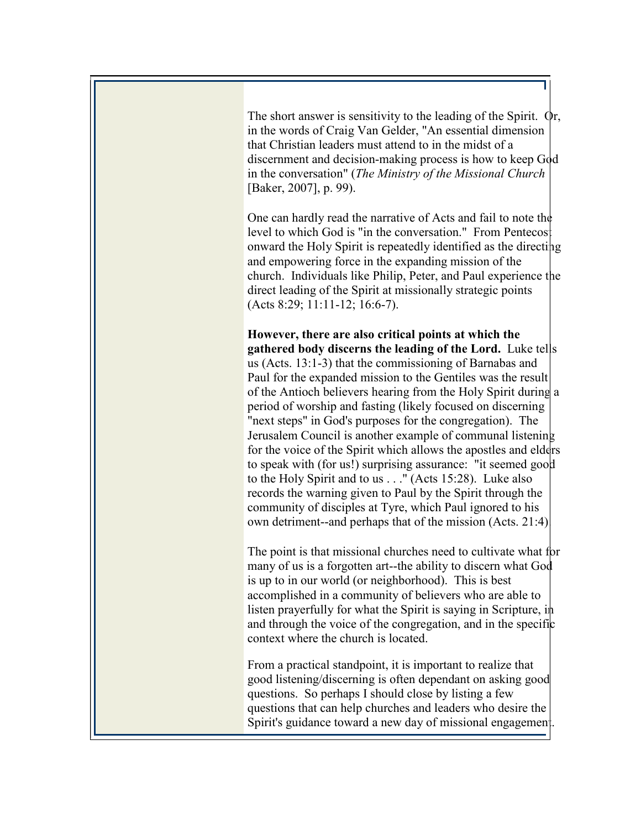The short answer is sensitivity to the leading of the Spirit. Or, in the words of Craig Van Gelder, "An essential dimension that Christian leaders must attend to in the midst of a discernment and decision-making process is how to keep God in the conversation" (*The Ministry of the Missional Church* [Baker, 2007], p. 99).

One can hardly read the narrative of Acts and fail to note the level to which God is "in the conversation." From Pentecos onward the Holy Spirit is repeatedly identified as the directing and empowering force in the expanding mission of the church. Individuals like Philip, Peter, and Paul experience the direct leading of the Spirit at missionally strategic points (Acts 8:29; 11:11-12; 16:6-7).

**However, there are also critical points at which the gathered body discerns the leading of the Lord.** Luke tells us (Acts. 13:1-3) that the commissioning of Barnabas and Paul for the expanded mission to the Gentiles was the result of the Antioch believers hearing from the Holy Spirit during a period of worship and fasting (likely focused on discerning "next steps" in God's purposes for the congregation). The Jerusalem Council is another example of communal listening for the voice of the Spirit which allows the apostles and elders to speak with (for us!) surprising assurance: "it seemed good to the Holy Spirit and to us . . ." (Acts 15:28). Luke also records the warning given to Paul by the Spirit through the community of disciples at Tyre, which Paul ignored to his own detriment--and perhaps that of the mission (Acts. 21:4).

The point is that missional churches need to cultivate what for many of us is a forgotten art--the ability to discern what God is up to in our world (or neighborhood). This is best accomplished in a community of believers who are able to listen prayerfully for what the Spirit is saying in Scripture, in and through the voice of the congregation, and in the specific context where the church is located.

From a practical standpoint, it is important to realize that good listening/discerning is often dependant on asking good questions. So perhaps I should close by listing a few questions that can help churches and leaders who desire the Spirit's guidance toward a new day of missional engagement.